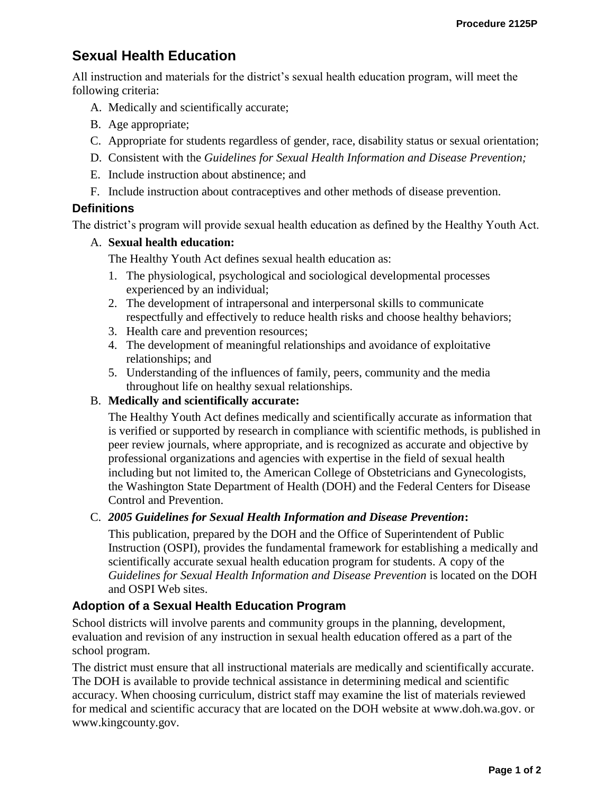# **Sexual Health Education**

All instruction and materials for the district's sexual health education program, will meet the following criteria:

- A. Medically and scientifically accurate;
- B. Age appropriate;
- C. Appropriate for students regardless of gender, race, disability status or sexual orientation;
- D. Consistent with the *Guidelines for Sexual Health Information and Disease Prevention;*
- E. Include instruction about abstinence; and
- F. Include instruction about contraceptives and other methods of disease prevention.

## **Definitions**

The district's program will provide sexual health education as defined by the Healthy Youth Act.

#### A. **Sexual health education:**

The Healthy Youth Act defines sexual health education as:

- 1. The physiological, psychological and sociological developmental processes experienced by an individual;
- 2. The development of intrapersonal and interpersonal skills to communicate respectfully and effectively to reduce health risks and choose healthy behaviors;
- 3. Health care and prevention resources;
- 4. The development of meaningful relationships and avoidance of exploitative relationships; and
- 5. Understanding of the influences of family, peers, community and the media throughout life on healthy sexual relationships.

#### B. **Medically and scientifically accurate:**

The Healthy Youth Act defines medically and scientifically accurate as information that is verified or supported by research in compliance with scientific methods, is published in peer review journals, where appropriate, and is recognized as accurate and objective by professional organizations and agencies with expertise in the field of sexual health including but not limited to, the American College of Obstetricians and Gynecologists, the Washington State Department of Health (DOH) and the Federal Centers for Disease Control and Prevention.

#### C. *2005 Guidelines for Sexual Health Information and Disease Prevention***:**

This publication, prepared by the DOH and the Office of Superintendent of Public Instruction (OSPI), provides the fundamental framework for establishing a medically and scientifically accurate sexual health education program for students. A copy of the *Guidelines for Sexual Health Information and Disease Prevention* is located on the DOH and OSPI Web sites.

## **Adoption of a Sexual Health Education Program**

School districts will involve parents and community groups in the planning, development, evaluation and revision of any instruction in sexual health education offered as a part of the school program.

The district must ensure that all instructional materials are medically and scientifically accurate. The DOH is available to provide technical assistance in determining medical and scientific accuracy. When choosing curriculum, district staff may examine the list of materials reviewed for medical and scientific accuracy that are located on the DOH website at www.doh.wa.gov. or www.kingcounty.gov.